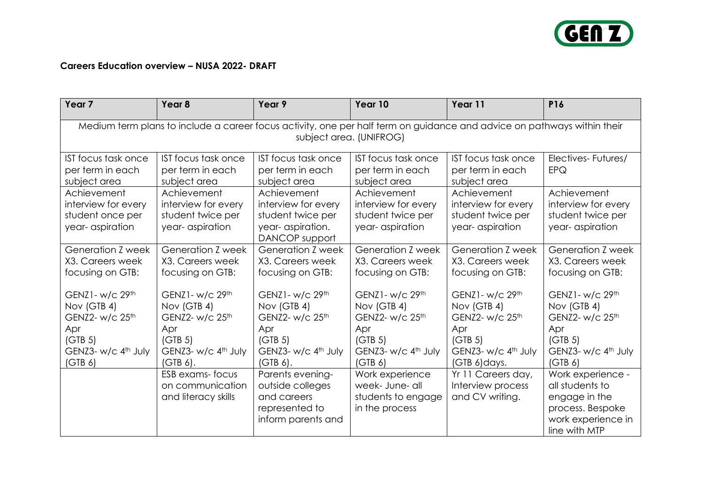

## **Careers Education overview – NUSA 2022- DRAFT**

| Year <sub>7</sub>                                                                                                                                  | Year <sub>8</sub>                                                          | Year 9                                                                                        | Year 10                                                                     | Year 11                                                                    | P16                                                                                                              |  |
|----------------------------------------------------------------------------------------------------------------------------------------------------|----------------------------------------------------------------------------|-----------------------------------------------------------------------------------------------|-----------------------------------------------------------------------------|----------------------------------------------------------------------------|------------------------------------------------------------------------------------------------------------------|--|
| Medium term plans to include a career focus activity, one per half term on guidance and advice on pathways within their<br>subject area. (UNIFROG) |                                                                            |                                                                                               |                                                                             |                                                                            |                                                                                                                  |  |
| <b>IST focus task once</b><br>per term in each<br>subject area                                                                                     | IST focus task once<br>per term in each<br>subject area                    | IST focus task once<br>per term in each<br>subject area                                       | IST focus task once<br>per term in each<br>subject area                     | IST focus task once<br>per term in each<br>subject area                    | Electives-Futures/<br>EPQ                                                                                        |  |
| Achievement<br>interview for every<br>student once per<br>year- aspiration                                                                         | Achievement<br>interview for every<br>student twice per<br>year-aspiration | Achievement<br>interview for every<br>student twice per<br>year-aspiration.<br>DANCOP support | Achievement<br>interview for every<br>student twice per<br>year- aspiration | Achievement<br>interview for every<br>student twice per<br>year-aspiration | Achievement<br>interview for every<br>student twice per<br>year-aspiration                                       |  |
| Generation Z week<br>X3. Careers week<br>focusing on GTB:                                                                                          | Generation Z week<br>X3. Careers week<br>focusing on GTB:                  | Generation <i>Z</i> week<br>X3. Careers week<br>focusing on GTB:                              | Generation Z week<br>X3. Careers week<br>focusing on GTB:                   | Generation Z week<br>X3. Careers week<br>focusing on GTB:                  | Generation Z week<br>X3. Careers week<br>focusing on GTB:                                                        |  |
| GENZ1- w/c 29th<br>Nov (GTB 4)<br>GENZ2- w/c 25 <sup>th</sup>                                                                                      | GENZ1- w/c 29th<br>Nov (GTB 4)<br>GENZ2- w/c 25 <sup>th</sup>              | GENZ1- w/c 29th<br>Nov (GTB 4)<br>GENZ2- w/c 25 <sup>th</sup>                                 | GENZ1- w/c 29th<br>Nov (GTB 4)<br>GENZ2- w/c 25 <sup>th</sup>               | GENZ1- w/c 29th<br>Nov (GTB 4)<br>GENZ2- w/c 25 <sup>th</sup>              | GENZ1- w/c 29th<br>Nov (GTB 4)<br>GENZ2- w/c 25 <sup>th</sup>                                                    |  |
| Apr<br>(GTB 5)<br>GENZ3- w/c 4th July<br>(GTB 6)                                                                                                   | Apr<br>(GTB 5)<br>GENZ3- w/c 4th July<br>$(GTB 6)$ .                       | Apr<br>(GTB 5)<br>GENZ3- w/c 4 <sup>th</sup> July<br>$(GTB 6)$ .                              | Apr<br>(GTB 5)<br>GENZ3- w/c 4 <sup>th</sup> July<br>(GTB <sub>6</sub> )    | Apr<br>(GTB 5)<br>GENZ3- w/c 4 <sup>th</sup> July<br>(GTB 6) days.         | Apr<br>(GTB 5)<br>GENZ3- w/c 4 <sup>th</sup> July<br>(GTB <sub>6</sub> )                                         |  |
|                                                                                                                                                    | ESB exams-focus<br>on communication<br>and literacy skills                 | Parents evening-<br>outside colleges<br>and careers<br>represented to<br>inform parents and   | Work experience<br>week- June- all<br>students to engage<br>in the process  | Yr 11 Careers day,<br>Interview process<br>and CV writing.                 | Work experience -<br>all students to<br>engage in the<br>process. Bespoke<br>work experience in<br>line with MTP |  |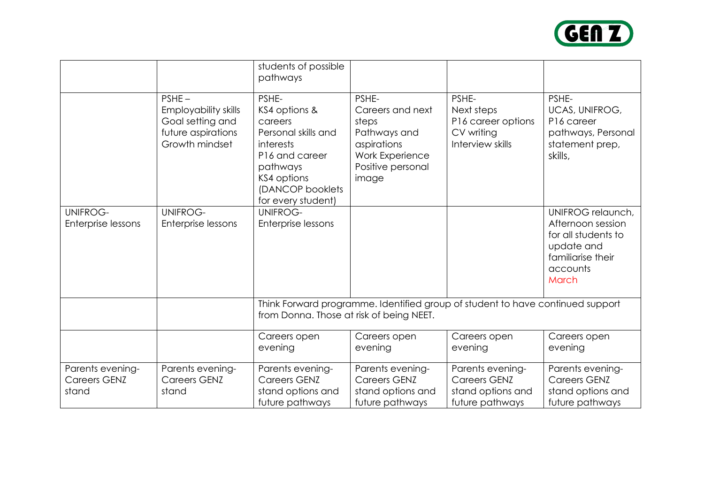

|                                                  |                                                                                              | students of possible<br>pathways                                                                                                                             |                                                                                                                    |                                                                                 |                                                                                                                       |  |
|--------------------------------------------------|----------------------------------------------------------------------------------------------|--------------------------------------------------------------------------------------------------------------------------------------------------------------|--------------------------------------------------------------------------------------------------------------------|---------------------------------------------------------------------------------|-----------------------------------------------------------------------------------------------------------------------|--|
|                                                  | $PSHE -$<br>Employability skills<br>Goal setting and<br>future aspirations<br>Growth mindset | PSHE-<br>KS4 options &<br>careers<br>Personal skills and<br>interests<br>P16 and career<br>pathways<br>KS4 options<br>(DANCOP booklets<br>for every student) | PSHE-<br>Careers and next<br>steps<br>Pathways and<br>aspirations<br>Work Experience<br>Positive personal<br>image | PSHE-<br>Next steps<br>P16 career options<br>CV writing<br>Interview skills     | PSHE-<br><b>UCAS, UNIFROG,</b><br>P16 career<br>pathways, Personal<br>statement prep,<br>skills,                      |  |
| <b>UNIFROG-</b><br>Enterprise lessons            | <b>UNIFROG-</b><br>Enterprise lessons                                                        | <b>UNIFROG-</b><br>Enterprise lessons                                                                                                                        |                                                                                                                    |                                                                                 | UNIFROG relaunch,<br>Afternoon session<br>for all students to<br>update and<br>familiarise their<br>accounts<br>March |  |
|                                                  |                                                                                              | Think Forward programme. Identified group of student to have continued support<br>from Donna. Those at risk of being NEET.                                   |                                                                                                                    |                                                                                 |                                                                                                                       |  |
|                                                  |                                                                                              | Careers open<br>evening                                                                                                                                      | Careers open<br>evening                                                                                            | Careers open<br>evening                                                         | Careers open<br>evening                                                                                               |  |
| Parents evening-<br><b>Careers GENZ</b><br>stand | Parents evening-<br><b>Careers GENZ</b><br>stand                                             | Parents evening-<br><b>Careers GENZ</b><br>stand options and<br>future pathways                                                                              | Parents evening-<br><b>Careers GENZ</b><br>stand options and<br>future pathways                                    | Parents evening-<br><b>Careers GENZ</b><br>stand options and<br>future pathways | Parents evening-<br><b>Careers GENZ</b><br>stand options and<br>future pathways                                       |  |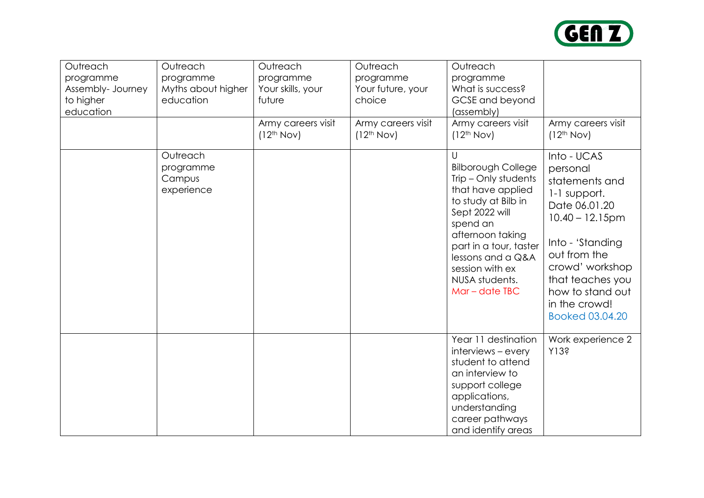

| Outreach<br>programme<br>Assembly- Journey<br>to higher<br>education | Outreach<br>programme<br>Myths about higher<br>education | Outreach<br>programme<br>Your skills, your<br>future<br>Army careers visit<br>(12 <sup>th</sup> Nov) | Outreach<br>programme<br>Your future, your<br>choice<br>Army careers visit<br>(12 <sup>th</sup> Nov) | Outreach<br>programme<br>What is success?<br>GCSE and beyond<br>(assembly)<br>Army careers visit<br>(12 <sup>th</sup> Nov)                                                                                                                                        | Army careers visit<br>(12 <sup>th</sup> Nov)                                                                                                                                                                                        |
|----------------------------------------------------------------------|----------------------------------------------------------|------------------------------------------------------------------------------------------------------|------------------------------------------------------------------------------------------------------|-------------------------------------------------------------------------------------------------------------------------------------------------------------------------------------------------------------------------------------------------------------------|-------------------------------------------------------------------------------------------------------------------------------------------------------------------------------------------------------------------------------------|
|                                                                      | Outreach<br>programme<br>Campus<br>experience            |                                                                                                      |                                                                                                      | $\cup$<br><b>Bilborough College</b><br>Trip - Only students<br>that have applied<br>to study at Bilb in<br>Sept 2022 will<br>spend an<br>afternoon taking<br>part in a tour, taster<br>lessons and a Q&A<br>session with ex<br>NUSA students.<br>$Mar - date IBC$ | Into - UCAS<br>personal<br>statements and<br>1-1 support.<br>Date 06.01.20<br>$10.40 - 12.15$ pm<br>Into - 'Standing<br>out from the<br>crowd' workshop<br>that teaches you<br>how to stand out<br>in the crowd!<br>Booked 03.04.20 |
|                                                                      |                                                          |                                                                                                      |                                                                                                      | Year 11 destination<br>interviews - every<br>student to attend<br>an interview to<br>support college<br>applications,<br>understanding<br>career pathways<br>and identify areas                                                                                   | Work experience 2<br>Y13?                                                                                                                                                                                                           |